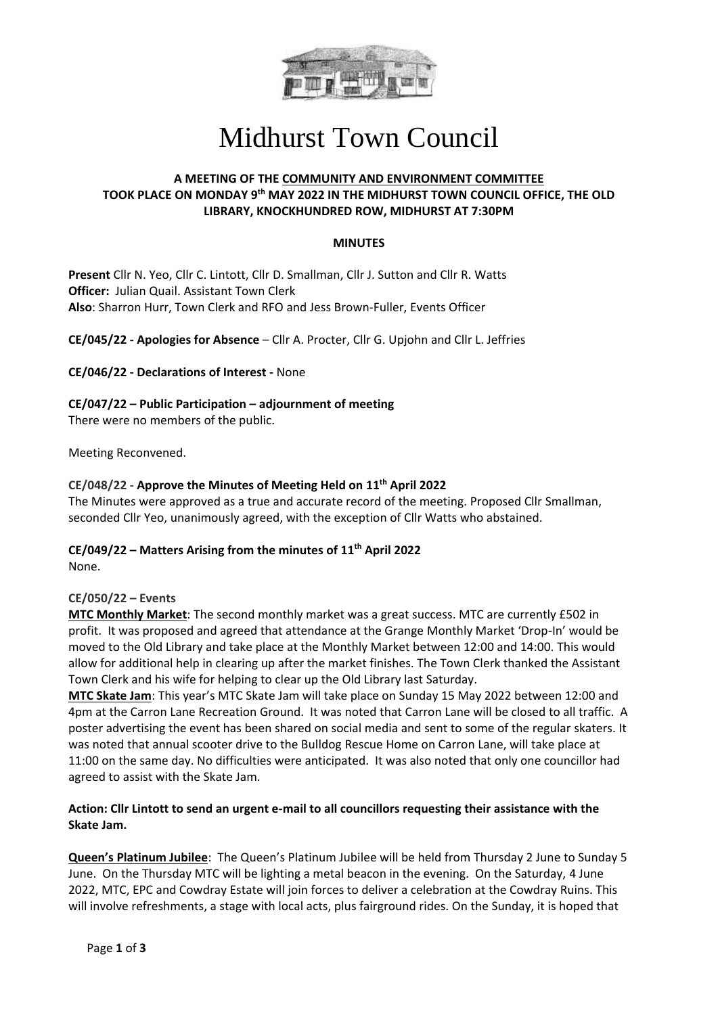

# Midhurst Town Council

## **A MEETING OF THE COMMUNITY AND ENVIRONMENT COMMITTEE TOOK PLACE ON MONDAY 9 th MAY 2022 IN THE MIDHURST TOWN COUNCIL OFFICE, THE OLD LIBRARY, KNOCKHUNDRED ROW, MIDHURST AT 7:30PM**

#### **MINUTES**

**Present** Cllr N. Yeo, Cllr C. Lintott, Cllr D. Smallman, Cllr J. Sutton and Cllr R. Watts **Officer:** Julian Quail. Assistant Town Clerk **Also**: Sharron Hurr, Town Clerk and RFO and Jess Brown-Fuller, Events Officer

**CE/045/22 - Apologies for Absence** – Cllr A. Procter, Cllr G. Upjohn and Cllr L. Jeffries

**CE/046/22 - Declarations of Interest -** None

**CE/047/22 – Public Participation – adjournment of meeting**

There were no members of the public.

Meeting Reconvened.

### **CE/048/22 - Approve the Minutes of Meeting Held on 11 th April 2022**

The Minutes were approved as a true and accurate record of the meeting. Proposed Cllr Smallman, seconded Cllr Yeo, unanimously agreed, with the exception of Cllr Watts who abstained.

## **CE/049/22 – Matters Arising from the minutes of 11 th April 2022**

None.

#### **CE/050/22 – Events**

**MTC Monthly Market**: The second monthly market was a great success. MTC are currently £502 in profit. It was proposed and agreed that attendance at the Grange Monthly Market 'Drop-In' would be moved to the Old Library and take place at the Monthly Market between 12:00 and 14:00. This would allow for additional help in clearing up after the market finishes. The Town Clerk thanked the Assistant Town Clerk and his wife for helping to clear up the Old Library last Saturday.

**MTC Skate Jam**: This year's MTC Skate Jam will take place on Sunday 15 May 2022 between 12:00 and 4pm at the Carron Lane Recreation Ground. It was noted that Carron Lane will be closed to all traffic. A poster advertising the event has been shared on social media and sent to some of the regular skaters. It was noted that annual scooter drive to the Bulldog Rescue Home on Carron Lane, will take place at 11:00 on the same day. No difficulties were anticipated. It was also noted that only one councillor had agreed to assist with the Skate Jam.

### **Action: Cllr Lintott to send an urgent e-mail to all councillors requesting their assistance with the Skate Jam.**

**Queen's Platinum Jubilee**: The Queen's Platinum Jubilee will be held from Thursday 2 June to Sunday 5 June. On the Thursday MTC will be lighting a metal beacon in the evening. On the Saturday, 4 June 2022, MTC, EPC and Cowdray Estate will join forces to deliver a celebration at the Cowdray Ruins. This will involve refreshments, a stage with local acts, plus fairground rides. On the Sunday, it is hoped that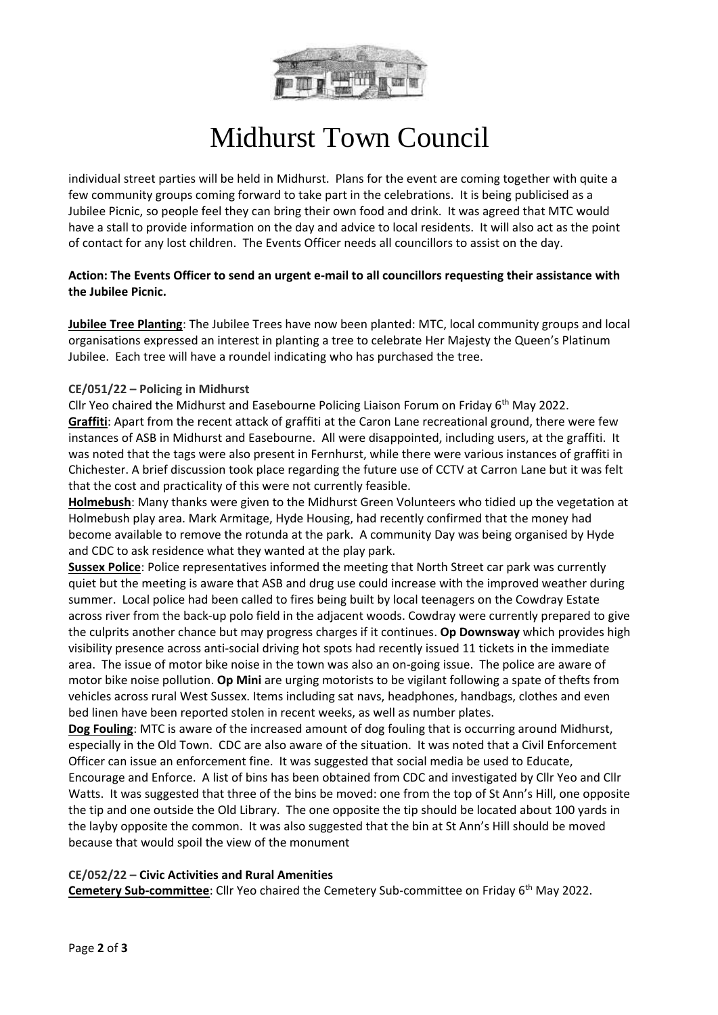

# Midhurst Town Council

individual street parties will be held in Midhurst. Plans for the event are coming together with quite a few community groups coming forward to take part in the celebrations. It is being publicised as a Jubilee Picnic, so people feel they can bring their own food and drink. It was agreed that MTC would have a stall to provide information on the day and advice to local residents. It will also act as the point of contact for any lost children. The Events Officer needs all councillors to assist on the day.

### **Action: The Events Officer to send an urgent e-mail to all councillors requesting their assistance with the Jubilee Picnic.**

**Jubilee Tree Planting**: The Jubilee Trees have now been planted: MTC, local community groups and local organisations expressed an interest in planting a tree to celebrate Her Majesty the Queen's Platinum Jubilee. Each tree will have a roundel indicating who has purchased the tree.

### **CE/051/22 – Policing in Midhurst**

Cllr Yeo chaired the Midhurst and Easebourne Policing Liaison Forum on Friday  $6<sup>th</sup>$  May 2022. **Graffiti**: Apart from the recent attack of graffiti at the Caron Lane recreational ground, there were few instances of ASB in Midhurst and Easebourne. All were disappointed, including users, at the graffiti. It was noted that the tags were also present in Fernhurst, while there were various instances of graffiti in Chichester. A brief discussion took place regarding the future use of CCTV at Carron Lane but it was felt that the cost and practicality of this were not currently feasible.

**Holmebush**: Many thanks were given to the Midhurst Green Volunteers who tidied up the vegetation at Holmebush play area. Mark Armitage, Hyde Housing, had recently confirmed that the money had become available to remove the rotunda at the park. A community Day was being organised by Hyde and CDC to ask residence what they wanted at the play park.

**Sussex Police**: Police representatives informed the meeting that North Street car park was currently quiet but the meeting is aware that ASB and drug use could increase with the improved weather during summer. Local police had been called to fires being built by local teenagers on the Cowdray Estate across river from the back-up polo field in the adjacent woods. Cowdray were currently prepared to give the culprits another chance but may progress charges if it continues. **Op Downsway** which provides high visibility presence across anti-social driving hot spots had recently issued 11 tickets in the immediate area. The issue of motor bike noise in the town was also an on-going issue. The police are aware of motor bike noise pollution. **Op Mini** are urging motorists to be vigilant following a spate of thefts from vehicles across rural West Sussex. Items including sat navs, headphones, handbags, clothes and even bed linen have been reported stolen in recent weeks, as well as number plates.

**Dog Fouling**: MTC is aware of the increased amount of dog fouling that is occurring around Midhurst, especially in the Old Town. CDC are also aware of the situation. It was noted that a Civil Enforcement Officer can issue an enforcement fine. It was suggested that social media be used to Educate, Encourage and Enforce. A list of bins has been obtained from CDC and investigated by Cllr Yeo and Cllr Watts. It was suggested that three of the bins be moved: one from the top of St Ann's Hill, one opposite the tip and one outside the Old Library. The one opposite the tip should be located about 100 yards in the layby opposite the common. It was also suggested that the bin at St Ann's Hill should be moved because that would spoil the view of the monument

#### **CE/052/22 – Civic Activities and Rural Amenities**

**Cemetery Sub-committee**: Cllr Yeo chaired the Cemetery Sub-committee on Friday 6<sup>th</sup> May 2022.